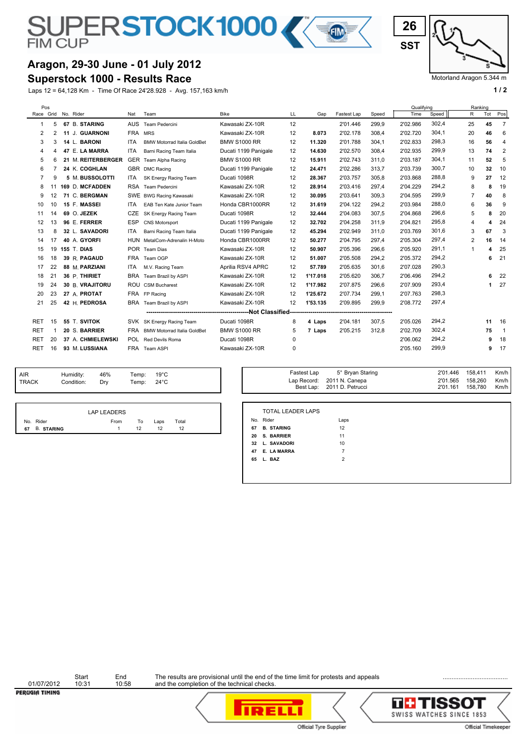# SUPERSTOCK1000

#### **Aragon, 29-30 June - 01 July 2012**

#### **Superstock 1000 - Results Race**

Laps 12 = 64,128 Km - Time Of Race 24'28.928 - Avg. 157,163 km/h **1 / 2 1 / 2 1 / 2 1 / 2 1 / 2 1 / 2 1 / 2 1 / 2 1 / 2 1 / 2 1 / 2 1 / 2 1 / 2 1 / 2 1 / 2 1 / 2 1 / 2 1 / 2 1 / 2 1** 



Motorland Aragon 5.344 m

|            | Pos |                     |                    |            |                                    |                      |    |          |             |       | Qualifying |       |                | Ranking |                          |
|------------|-----|---------------------|--------------------|------------|------------------------------------|----------------------|----|----------|-------------|-------|------------|-------|----------------|---------|--------------------------|
|            |     | Race Grid No. Rider |                    | Nat        | Team                               | <b>Bike</b>          | LL | Gap      | Fastest Lap | Speed | Time       | Speed | R              | Tot     | Pos                      |
| 1          | 5   |                     | 67 B. STARING      | <b>AUS</b> | Team Pedercini                     | Kawasaki ZX-10R      | 12 |          | 2'01.446    | 299.9 | 2'02.986   | 302,4 | 25             | 45      | 7                        |
| 2          | 2   |                     | 11 J. GUARNONI     | FRA MRS    |                                    | Kawasaki ZX-10R      | 12 | 8.073    | 2'02.178    | 308,4 | 2'02.720   | 304,1 | 20             | 46      | 6                        |
| 3          | 3   |                     | 14 L. BARONI       | <b>ITA</b> | <b>BMW Motorrad Italia GoldBet</b> | <b>BMW S1000 RR</b>  | 12 | 11.320   | 2'01.788    | 304.1 | 2'02.833   | 298,3 | 16             | 56      | $\overline{4}$           |
| 4          |     |                     | 47 E. LA MARRA     | ITA        | Barni Racing Team Italia           | Ducati 1199 Panigale | 12 | 14.630   | 2'02.570    | 308,4 | 2'02.935   | 299,9 | 13             | 74      | $\overline{2}$           |
| 5          | 6   |                     | 21 M. REITERBERGER | <b>GER</b> | Team Alpha Racing                  | <b>BMW S1000 RR</b>  | 12 | 15.911   | 2'02.743    | 311.0 | 2'03.187   | 304,1 | 11             | 52      | 5                        |
| 6          |     |                     | 24 K. COGHLAN      |            | GBR DMC Racing                     | Ducati 1199 Panigale | 12 | 24.471   | 2'02.286    | 313,7 | 2'03.739   | 300.7 | 10             | 32      | 10                       |
| 7          | 9   |                     | 5 M. BUSSOLOTTI    | <b>ITA</b> | SK Energy Racing Team              | Ducati 1098R         | 12 | 28.367   | 2'03.757    | 305.8 | 2'03.868   | 288,8 | 9              | 27      | 12                       |
| 8          |     |                     | 169 D. MCFADDEN    | <b>RSA</b> | Team Pedercini                     | Kawasaki ZX-10R      | 12 | 28.914   | 2'03.416    | 297,4 | 2'04.229   | 294,2 | 8              | 8       | 19                       |
| 9          | 12  |                     | 71 C. BERGMAN      | <b>SWE</b> | <b>BWG Racing Kawasaki</b>         | Kawasaki ZX-10R      | 12 | 30.095   | 2'03.641    | 309.3 | 2'04.595   | 299,9 | $\overline{7}$ | 40      | 8                        |
| 10         | 10  |                     | 15 F. MASSEI       | ITA        | EAB Ten Kate Junior Team           | Honda CBR1000RR      | 12 | 31.619   | 2'04.122    | 294,2 | 2'03.984   | 288,0 | 6              | 36      | 9                        |
| 11         | 14  |                     | 69 O. JEZEK        | <b>CZE</b> | SK Energy Racing Team              | Ducati 1098R         | 12 | 32.444   | 2'04.083    | 307,5 | 2'04.868   | 296,6 | 5              |         | 20                       |
| 12         | 13  |                     | 96 E. FERRER       | <b>ESP</b> | <b>CNS Motorsport</b>              | Ducati 1199 Panigale | 12 | 32.702   | 2'04.258    | 311,9 | 2'04.821   | 295,8 | 4              | 4       | 24                       |
| 13         | 8   |                     | 32 L. SAVADORI     | <b>ITA</b> | Barni Racing Team Italia           | Ducati 1199 Panigale | 12 | 45.294   | 2'02.949    | 311.0 | 2'03.769   | 301,6 | 3              | 67      | 3                        |
| 14         | 17  |                     | 40 A. GYORFI       |            | HUN MetalCom-Adrenalin H-Moto      | Honda CBR1000RR      | 12 | 50.277   | 2'04.795    | 297,4 | 2'05.304   | 297,4 | $\overline{2}$ | 16      | 14                       |
| 15         | 19  |                     | <b>155 T. DIAS</b> |            | POR Team Dias                      | Kawasaki ZX-10R      | 12 | 50.907   | 2'05.396    | 296.6 | 2'05.920   | 291,1 | 1              |         | 25                       |
| 16         | 18  |                     | 39 R. PAGAUD       | FRA        | Team OGP                           | Kawasaki ZX-10R      | 12 | 51.007   | 2'05.508    | 294,2 | 2'05.372   | 294,2 |                | 6       | 21                       |
| 17         | 22  |                     | 88 M. PARZIANI     | <b>ITA</b> | M.V. Racing Team                   | Aprilia RSV4 APRC    | 12 | 57.789   | 2'05.635    | 301.6 | 2'07.028   | 290,3 |                |         |                          |
| 18         | 21  |                     | 36 P. THIRIET      | <b>BRA</b> | Team Brazil by ASPI                | Kawasaki ZX-10R      | 12 | 1'17.018 | 2'05.620    | 306,7 | 2'06.496   | 294,2 |                | 6       | 22                       |
| 19         | 24  |                     | 30 B. VRAJITORU    |            | ROU CSM Bucharest                  | Kawasaki ZX-10R      | 12 | 1'17.982 | 2'07.875    | 296.6 | 2'07.909   | 293,4 |                | 1.      | 27                       |
| 20         | 23  |                     | 27 A. PROTAT       |            | FRA FP Racing                      | Kawasaki ZX-10R      | 12 | 1'25.672 | 2'07.734    | 299,1 | 2'07.763   | 298,3 |                |         |                          |
| 21         | 25  |                     | 42 H. PEDROSA      | BRA        | Team Brazil by ASPI                | Kawasaki ZX-10R      | 12 | 1'53.135 | 2'09.895    | 299,9 | 2'08.772   | 297,4 |                |         |                          |
|            |     |                     |                    |            |                                    |                      |    |          |             |       |            |       |                |         |                          |
| <b>RET</b> | 15  |                     | 55 T. SVITOK       | <b>SVK</b> | SK Energy Racing Team              | Ducati 1098R         | 8  | 4 Laps   | 2'04.181    | 307,5 | 2'05.026   | 294,2 |                | 11      | 16                       |
| <b>RET</b> |     |                     | 20 S. BARRIER      | <b>FRA</b> | <b>BMW Motorrad Italia GoldBet</b> | <b>BMW S1000 RR</b>  | 5  | 7 Laps   | 2'05.215    | 312,8 | 2'02.709   | 302,4 |                | 75      | $\overline{\phantom{0}}$ |
| <b>RET</b> | 20  |                     | 37 A. CHMIELEWSKI  | <b>POL</b> | Red Devils Roma                    | Ducati 1098R         | 0  |          |             |       | 2'06.062   | 294,2 |                | 9       | 18                       |
| <b>RET</b> | 16  |                     | 93 M. LUSSIANA     |            | FRA Team ASPI                      | Kawasaki ZX-10R      | 0  |          |             |       | 2'05.160   | 299,9 |                | 9       | 17                       |
|            |     |                     |                    |            |                                    |                      |    |          |             |       |            |       |                |         |                          |

| <b>AIR</b> | Humidity:  | 46% | Temp:                | $19^{\circ}$ C |
|------------|------------|-----|----------------------|----------------|
| TRACK      | Condition: | Drv | Temp: $24^{\circ}$ C |                |
|            |            |     |                      |                |

|               | <b>LAP LEADERS</b> |    |      |       |  |
|---------------|--------------------|----|------|-------|--|
| No. Rider     | From               | To | Laps | Total |  |
| 67 B. STARING |                    | 12 | 12   | 12    |  |

| 158.411<br>Km/h I<br>2'01.446<br>5° Bryan Staring<br>Fastest Lap<br>Temp:<br>19°C<br>158.260<br>2'01.565<br>Km/h<br>Lap Record: 2011 N. Canepa<br>Temp:<br>$24^{\circ}$ C<br>158.780<br>Km/h I<br>Best Lap: 2011 D. Petrucci<br>2'01.161 |
|------------------------------------------------------------------------------------------------------------------------------------------------------------------------------------------------------------------------------------------|
|------------------------------------------------------------------------------------------------------------------------------------------------------------------------------------------------------------------------------------------|

|    | No. Rider         | Laps           |
|----|-------------------|----------------|
| 67 | <b>B. STARING</b> | 12             |
|    | 20 S. BARRIER     | 11             |
|    | 32 L. SAVADORI    | 10             |
| 47 | E. LA MARRA       | 7              |
|    | 65 L. BAZ         | $\overline{2}$ |

Start End<br>01/07/2012 10:31 10:58 PERUGIA TIMING

Start End The results are provisional until the end of the time limit for protests and appeals **Endingle Community** 



and the completion of the technical checks.



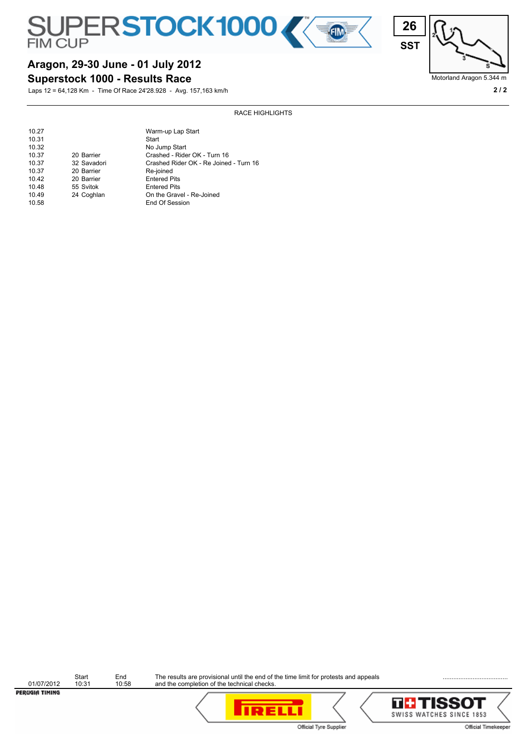





Motorland Aragon 5.344 m

# **Aragon, 29-30 June - 01 July 2012**

**Superstock 1000 - Results Race**

Laps 12 = 64,128 Km - Time Of Race 24'28.928 - Avg. 157,163 km/h **2 / 2**

#### RACE HIGHLIGHTS

| 10.27 |             | Warm-up Lap Start                      |
|-------|-------------|----------------------------------------|
| 10.31 |             | Start                                  |
| 10.32 |             | No Jump Start                          |
| 10.37 | 20 Barrier  | Crashed - Rider OK - Turn 16           |
| 10.37 | 32 Savadori | Crashed Rider OK - Re Joined - Turn 16 |
| 10.37 | 20 Barrier  | Re-joined                              |
| 10.42 | 20 Barrier  | <b>Entered Pits</b>                    |
| 10.48 | 55 Svitok   | <b>Entered Pits</b>                    |
| 10.49 | 24 Coghlan  | On the Gravel - Re-Joined              |
| 10.58 |             | End Of Session                         |

Start End The results are provisional until the end of the time limit for protests and appeals **Endingle Community** Start End<br>
01/07/2012 10:31 10:58<br> **PER/LGIATIMING** and the completion of the technical checks.

**TH TISSOT** SWISS WATCHES SINCE 1853 Official Timekeeper

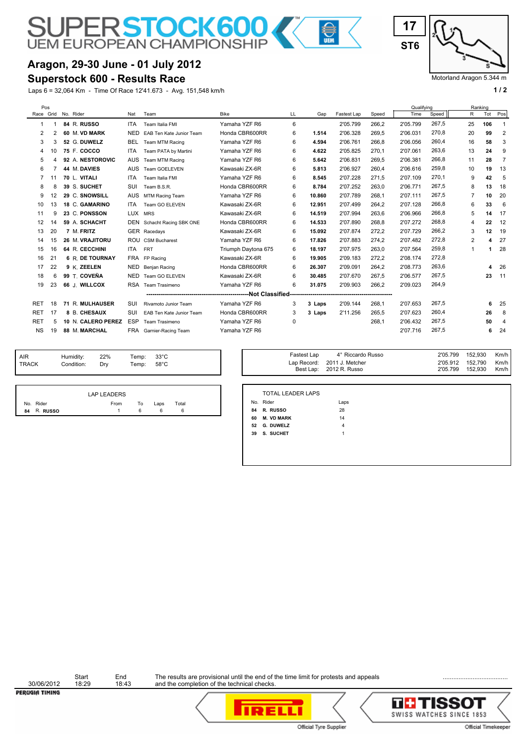# **Aragon, 29-30 June - 01 July 2012**

#### **Superstock 600 - Results Race**

Laps 6 = 32,064 Km - Time Of Race 12'41.673 - Avg. 151,548 km/h **1 / 2 1 / 2** 

**SUPERSTOCK600** 



Motorland Aragon 5.344 m

| Pos        |    |  |                        |            |                          |                     |    |        |             |       | Qualifving |       |                | Ranking |                         |
|------------|----|--|------------------------|------------|--------------------------|---------------------|----|--------|-------------|-------|------------|-------|----------------|---------|-------------------------|
| Race Grid  |    |  | No. Rider              | Nat        | Team                     | Bike                | LL | Gap    | Fastest Lap | Speed | Time       | Speed | R              | Tot     | Pos                     |
|            |    |  | 84 R. RUSSO            | <b>ITA</b> | Team Italia FMI          | Yamaha YZF R6       | 6  |        | 2'05.799    | 266.2 | 2'05.799   | 267,5 | 25             | 106     | $\overline{\mathbf{1}}$ |
| 2          |    |  | 60 M. VD MARK          | <b>NED</b> | EAB Ten Kate Junior Team | Honda CBR600RR      | 6  | 1.514  | 2'06.328    | 269,5 | 2'06.031   | 270,8 | 20             | 99      | $\overline{2}$          |
| 3          | 3  |  | 52 G. DUWELZ           | <b>BEL</b> | Team MTM Racing          | Yamaha YZF R6       | 6  | 4.594  | 2'06.761    | 266.8 | 2'06.056   | 260,4 | 16             | 58      | 3                       |
| 4          | 10 |  | 75 F. COCCO            | <b>ITA</b> | Team PATA by Martini     | Yamaha YZF R6       | 6  | 4.622  | 2'05.825    | 270.1 | 2'07.061   | 263,6 | 13             | 24      | 9                       |
| 5          |    |  | 92 A. NESTOROVIC       | <b>AUS</b> | Team MTM Racing          | Yamaha YZF R6       | 6  | 5.642  | 2'06.831    | 269,5 | 2'06.381   | 266,8 | 11             | 28      | $\overline{7}$          |
| 6          |    |  | 44 M. DAVIES           | <b>AUS</b> | Team GOELEVEN            | Kawasaki ZX-6R      | 6  | 5.813  | 2'06.927    | 260,4 | 2'06.616   | 259,8 | 10             | 19      | 13                      |
|            | 11 |  | 70 L. VITALI           | <b>ITA</b> | Team Italia FMI          | Yamaha YZF R6       | 6  | 8.545  | 2'07.228    | 271,5 | 2'07.109   | 270.1 | 9              | 42      | 5                       |
| 8          |    |  | 39 S. SUCHET           | SUI        | Team B.S.R.              | Honda CBR600RR      | 6  | 8.784  | 2'07.252    | 263.0 | 2'06.771   | 267,5 | 8              | 13      | 18                      |
| 9          | 12 |  | 29 C. SNOWSILL         | <b>AUS</b> | MTM Racing Team          | Yamaha YZF R6       | 6  | 10.860 | 2'07.789    | 268,1 | 2'07.111   | 267,5 | $\overline{7}$ | 10      | 20                      |
| 10         | 13 |  | 18 C. GAMARINO         | <b>ITA</b> | Team GO ELEVEN           | Kawasaki ZX-6R      | 6  | 12.951 | 2'07.499    | 264,2 | 2'07.128   | 266,8 | 6              | 33      | -6                      |
| 11         | 9  |  | 23 C. PONSSON          | <b>LUX</b> | <b>MRS</b>               | Kawasaki ZX-6R      | 6  | 14.519 | 2'07.994    | 263,6 | 2'06.966   | 266,8 | 5              | 14      | 17                      |
| 12         | 14 |  | 59 A. SCHACHT          | <b>DEN</b> | Schacht Racing SBK ONE   | Honda CBR600RR      | 6  | 14.533 | 2'07.890    | 268,8 | 2'07.272   | 268,8 | 4              | 22      | 12                      |
| 13         | 20 |  | 7 M. FRITZ             |            | GER Racedays             | Kawasaki ZX-6R      | 6  | 15.092 | 2'07.874    | 272,2 | 2'07.729   | 266,2 | 3              | 12      | 19                      |
| 14         | 15 |  | 26 M. VRAJITORU        |            | ROU CSM Bucharest        | Yamaha YZF R6       | 6  | 17.826 | 2'07.883    | 274,2 | 2'07.482   | 272,8 | 2              | 4       | 27                      |
| 15         | 16 |  | 64 R. CECCHINI         | ITA        | <b>FRT</b>               | Triumph Daytona 675 | 6  | 18.197 | 2'07.975    | 263,0 | 2'07.564   | 259,8 | 1              |         | 28                      |
| 16         | 21 |  | <b>6 R. DE TOURNAY</b> | <b>FRA</b> | FP Racing                | Kawasaki ZX-6R      | 6  | 19.905 | 2'09.183    | 272.2 | 2'08.174   | 272,8 |                |         |                         |
| 17         | 22 |  | 9 K. ZEELEN            | NED        | Benjan Racing            | Honda CBR600RR      | 6  | 26.307 | 2'09.091    | 264,2 | 2'08.773   | 263,6 |                | 4       | 26                      |
| 18         | 6  |  | 99 T. COVEÑA           | NED        | Team GO ELEVEN           | Kawasaki ZX-6R      | 6  | 30.485 | 2'07.670    | 267.5 | 2'06.577   | 267.5 |                | 23      | 11                      |
| 19         | 23 |  | 66 J. WILLCOX          | <b>RSA</b> | Team Trasimeno           | Yamaha YZF R6       | 6  | 31.075 | 2'09.903    | 266,2 | 2'09.023   | 264,9 |                |         |                         |
|            |    |  |                        |            |                          |                     |    |        |             |       |            |       |                |         |                         |
| <b>RET</b> | 18 |  | 71 R. MULHAUSER        | SUI        | Rivamoto Junior Team     | Yamaha YZF R6       | 3  | 3 Laps | 2'09.144    | 268,1 | 2'07.653   | 267.5 |                | 6       | 25                      |
| <b>RET</b> | 17 |  | 8 B. CHESAUX           | SUI        | EAB Ten Kate Junior Team | Honda CBR600RR      | 3  | 3 Laps | 2'11.256    | 265.5 | 2'07.623   | 260,4 |                | 26      | 8                       |
| <b>RET</b> | 5  |  | 10 N. CALERO PEREZ     | <b>ESP</b> | Team Trasimeno           | Yamaha YZF R6       | 0  |        |             | 268,1 | 2'06.432   | 267,5 |                | 50      | 4                       |
| <b>NS</b>  | 19 |  | 88 M. MARCHAL          | FRA        | Garnier-Racing Team      | Yamaha YZF R6       |    |        |             |       | 2'07.716   | 267,5 |                | 6       | 24                      |
|            |    |  |                        |            |                          |                     |    |        |             |       |            |       |                |         |                         |

**Alta** 

| <b>AIR</b>   | Humidity:<br>Condition: | 22%<br>Drv | Temp: $33^{\circ}$ C<br>Temp: 58°C |  |
|--------------|-------------------------|------------|------------------------------------|--|
| <b>TRACK</b> |                         |            |                                    |  |

| Fastest Lap<br>Temp:<br>33°C<br>Temp:<br>58°C | 4° Riccardo Russo<br>Lap Record: 2011 J. Metcher<br>Best Lap: 2012 R. Russo | 2'05.799<br>2'05.912 152,790<br>2'05.799 | 152,930<br>Km/h<br>Km/h<br>152,930<br>Km/h |
|-----------------------------------------------|-----------------------------------------------------------------------------|------------------------------------------|--------------------------------------------|
|-----------------------------------------------|-----------------------------------------------------------------------------|------------------------------------------|--------------------------------------------|

|             | LAP LEADERS |    |      |       |
|-------------|-------------|----|------|-------|
| No. Rider   | From        | To | Laps | Total |
| 84 R. RUSSO |             | 6  |      |       |

| 84 R. RUSSO              | 28   |
|--------------------------|------|
| No. Rider                | Laps |
| <b>TOTAL LEADER LAPS</b> |      |

| 60 | <b>M. VD MARK</b> | 14 |
|----|-------------------|----|
|    | 52 G. DUWELZ      |    |
| 39 | S. SUCHET         |    |

Start End<br>30/06/2012 18:29 18:43<br>**PER/LGIATIMING** 

Start End The results are provisional until the end of the time limit for protests and appeals **Endingle Community** and the completion of the technical checks.



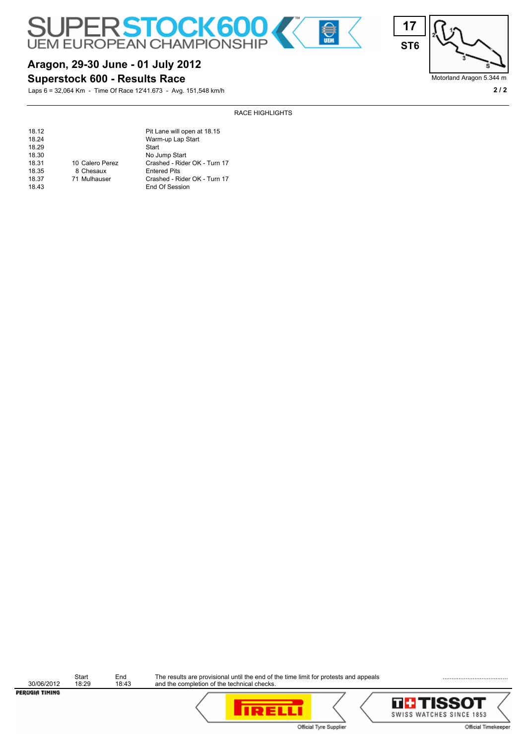

RACE HIGHLIGHTS



### **Superstock 600 - Results Race**

Laps 6 = 32,064 Km - Time Of Race 12'41.673 - Avg. 151,548 km/h **2 / 2**

| 18.12 |                 | Pit Lane will open at 18.15  |
|-------|-----------------|------------------------------|
| 18.24 |                 | Warm-up Lap Start            |
| 18.29 |                 | Start                        |
| 18.30 |                 | No Jump Start                |
| 18.31 | 10 Calero Perez | Crashed - Rider OK - Turn 17 |
| 18.35 | 8 Chesaux       | <b>Entered Pits</b>          |
| 18.37 | 71 Mulhauser    | Crashed - Rider OK - Turn 17 |
| 18.43 |                 | End Of Session               |

Start End The results are provisional until the end of the time limit for protests and appeals **Endingle Community** and the completion of the technical checks.







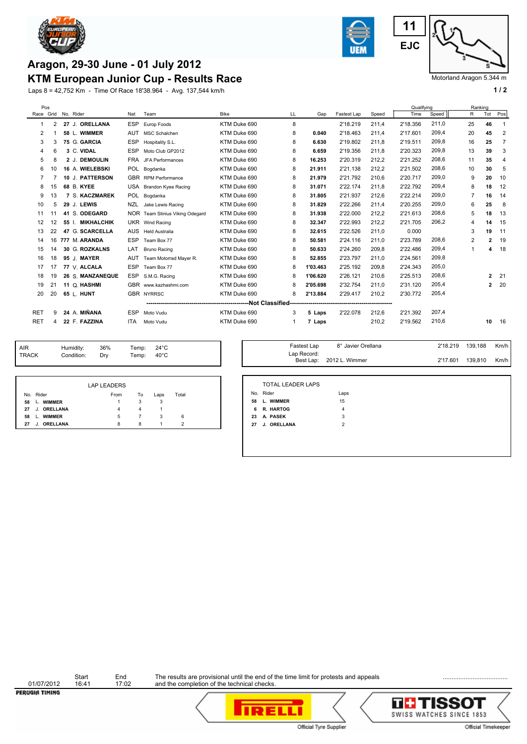

# **KTM European Junior Cup - Results Race Aragon, 29-30 June - 01 July 2012**

Laps 8 = 42,752 Km - Time Of Race 18'38.964 - Avg. 137,544 km/h **1 and 1 and 1 and 1 and 1 and 1 and 1 a** 1 and 1 and 1 and 1 and 1 and 1 and 1 and 1 and 1 and 1 and 1 and 1 and 1 and 1 and 1 and 1 and 1 and 1 and 1 and 1



**EJC 11**

Motorland Aragon 5.344 m

| Pos        |    |                     |                   |            |                                 |              |    |          |             |       | Qualifying |       |                | Ranking        |                |
|------------|----|---------------------|-------------------|------------|---------------------------------|--------------|----|----------|-------------|-------|------------|-------|----------------|----------------|----------------|
|            |    | Race Grid No. Rider |                   | Nat        | Team                            | <b>Bike</b>  | LL | Gap      | Fastest Lap | Speed | Time       | Speed | R              | Tot            | Pos            |
|            | 2  |                     | 27 J. ORELLANA    | <b>ESP</b> | Europ Foods                     | KTM Duke 690 | 8  |          | 2'18.219    | 211.4 | 2'18.356   | 211.0 | 25             | 46             |                |
| 2          |    |                     | 58 L. WIMMER      | <b>AUT</b> | <b>MSC Schalchen</b>            | KTM Duke 690 | 8  | 0.040    | 2'18.463    | 211,4 | 2'17.601   | 209,4 | 20             | 45             | 2              |
| 3          | 3  |                     | 75 G. GARCIA      | <b>ESP</b> | Hospitality S.L.                | KTM Duke 690 | 8  | 6.630    | 2'19.802    | 211,8 | 2'19.511   | 209.8 | 16             | 25             | $\overline{7}$ |
| 4          | 6  | 3 C. VIDAL          |                   | <b>ESP</b> | Moto Club GP2012                | KTM Duke 690 | 8  | 6.659    | 2'19.356    | 211.8 | 2'20.323   | 209.8 | 13             | 39             | 3              |
| 5          | 8  |                     | 2 J. DEMOULIN     |            | FRA JFA Performances            | KTM Duke 690 | 8  | 16.253   | 2'20.319    | 212,2 | 2'21.252   | 208.6 | 11             | 35             | $\overline{4}$ |
| 6          | 10 |                     | 16 A. WIELEBSKI   |            | POL Bogdanka                    | KTM Duke 690 | 8  | 21.911   | 2'21.138    | 212,2 | 2'21.502   | 208.6 | 10             | 30             | 5              |
| 7          |    |                     | 10 J. PATTERSON   |            | GBR RPM Performance             | KTM Duke 690 | 8  | 21.979   | 2'21.792    | 210.6 | 2'20.717   | 209,0 | 9              | 20             | 10             |
| 8          | 15 | 68 B. KYEE          |                   |            | USA Brandon Kyee Racing         | KTM Duke 690 | 8  | 31.071   | 2'22.174    | 211.8 | 2'22.792   | 209.4 | 8              | 18             | 12             |
| 9          | 13 |                     | 7 S. KACZMAREK    | POL.       | Bogdanka                        | KTM Duke 690 | 8  | 31.805   | 2'21.937    | 212.6 | 2'22.214   | 209,0 | $\overline{7}$ | 16             | 14             |
| 10         | 5  | 29 J. LEWIS         |                   | <b>NZL</b> | Jake Lewis Racing               | KTM Duke 690 | 8  | 31.829   | 2'22.266    | 211.4 | 2'20.255   | 209,0 | 6              | 25             | 8              |
| 11         | 11 | 41                  | S. ODEGARD        |            | NOR Team Stinius Viking Odegard | KTM Duke 690 | 8  | 31.938   | 2'22.000    | 212,2 | 2'21.613   | 208,6 | 5              | 18             | 13             |
| 12         | 12 | 55 L                | <b>MIKHALCHIK</b> |            | UKR Wind Racing                 | KTM Duke 690 | 8  | 32.347   | 2'22.993    | 212,2 | 2'21.705   | 206,2 | 4              | 14             | 15             |
| 13         | 22 |                     | 47 G. SCARCELLA   | AUS        | <b>Held Australia</b>           | KTM Duke 690 | 8  | 32.615   | 2'22.526    | 211,0 | 0.000      |       | 3              | 19             | 11             |
| 14         | 16 | 777 M. ARANDA       |                   | <b>ESP</b> | Team Box 77                     | KTM Duke 690 | 8  | 50.581   | 2'24.116    | 211,0 | 2'23.789   | 208.6 | 2              | $\mathbf{2}$   | 19             |
| 15         | 14 |                     | 30 G. ROZKALNS    | LAT        | <b>Bruno Racing</b>             | KTM Duke 690 | 8  | 50.633   | 2'24.260    | 209,8 | 2'22.486   | 209,4 | 1              | 4              | 18             |
| 16         | 18 | 95 J. MAYER         |                   | AUT        | Team Motorrad Mayer R.          | KTM Duke 690 | 8  | 52.855   | 2'23.797    | 211,0 | 2'24.561   | 209.8 |                |                |                |
| 17         | 17 |                     | 77 V. ALCALA      | <b>ESP</b> | Team Box 77                     | KTM Duke 690 | 8  | 1'03.463 | 2'25.192    | 209.8 | 2'24.343   | 205,0 |                |                |                |
| 18         | 19 |                     | 26 S. MANZANEQUE  | <b>ESP</b> | S.M.G. Racing                   | KTM Duke 690 | 8  | 1'06.620 | 2'26.121    | 210.6 | 2'25.513   | 208,6 |                | $\overline{2}$ | -21            |
| 19         | 21 |                     | 11 Q. HASHMI      |            | GBR www.kazhashmi.com           | KTM Duke 690 | 8  | 2'05.698 | 2'32.754    | 211.0 | 2'31.120   | 205,4 |                | $\overline{2}$ | 20             |
| 20         | 20 | 65 L. HUNT          |                   |            | <b>GBR NYRRSC</b>               | KTM Duke 690 | 8  | 2'13.884 | 2'29.417    | 210,2 | 2'30.772   | 205,4 |                |                |                |
|            |    |                     |                   |            |                                 |              |    |          |             |       |            |       |                |                |                |
| <b>RET</b> | 9  |                     | 24 A. MIÑANA      | <b>ESP</b> | Moto Vudu                       | KTM Duke 690 | 3  | 5 Laps   | 2'22.078    | 212,6 | 2'21.392   | 207.4 |                |                |                |
| <b>RET</b> |    |                     | 22 F. FAZZINA     | <b>ITA</b> | Moto Vudu                       | KTM Duke 690 | -1 | 7 Laps   |             | 210,2 | 2'19.562   | 210,6 |                | 10             | 16             |
|            |    |                     |                   |            |                                 |              |    |          |             |       |            |       |                |                |                |

| <b>AIR</b> | Humidity:  | 36% | Temp: $24^{\circ}$ C |      |
|------------|------------|-----|----------------------|------|
| TRACK      | Condition: | Dry | Temp:                | 40°C |

|                   | <b>LAP LEADERS</b> |                |      |       |  |
|-------------------|--------------------|----------------|------|-------|--|
| No. Rider         | From               | To             | Laps | Total |  |
| 58 L. WIMMER      | 1                  | 3              | 3    |       |  |
| 27 J. ORELLANA    | 4                  | $\overline{4}$ |      |       |  |
| L. WIMMER<br>58   | 5                  | 7              | 3    | 6     |  |
| J. ORELLANA<br>27 | 8                  | 8              |      | 2     |  |

| Fastest Lap | 8° Javier Orellana       | 2'18.219 | 139.188 | Km/h |
|-------------|--------------------------|----------|---------|------|
| Lap Record: | Best Lap: 2012 L. Wimmer | 2'17.601 | 139,810 | Km/h |

|    | TOTAL LEADER LAPS  |               |  |
|----|--------------------|---------------|--|
|    | No. Rider<br>Laps  |               |  |
| 58 | I WIMMFR           | 15            |  |
| 6  | R. HARTOG          | 4             |  |
| 23 | A PASFK            | 3             |  |
| 27 | <b>J. ORELLANA</b> | $\mathcal{P}$ |  |
|    |                    |               |  |

Start End<br>
01/07/2012 16:41 17:02<br> **PER/JGIA TIMING** 

Start End The results are provisional until the end of the time limit for protests and appeals **Ending the Completion of the technical** checks.<br>16:41 17:02 and the completion of the technical checks.